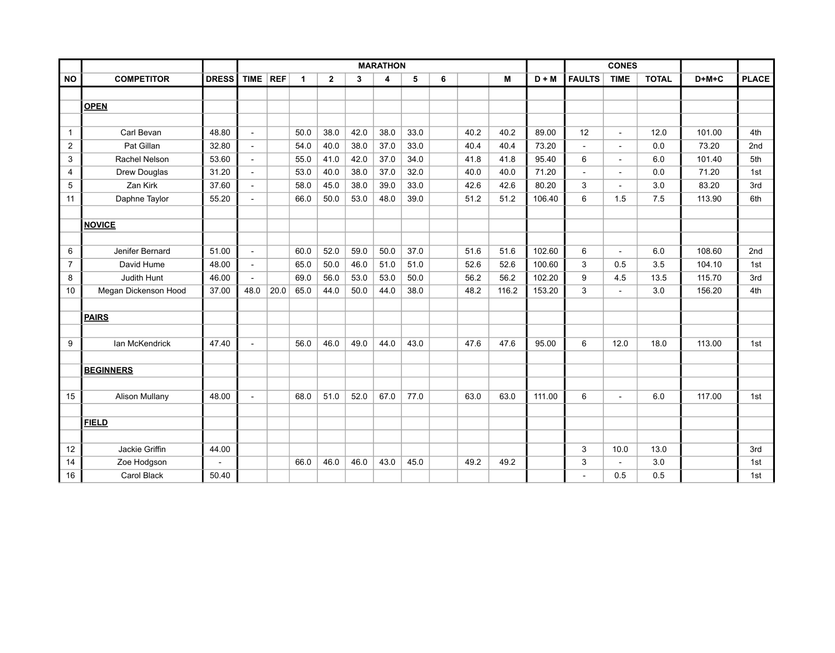|                         |                       |              |                |            |             |                |              | <b>MARATHON</b>         |      |   |      |       |         |               | <b>CONES</b>         |              |         |              |
|-------------------------|-----------------------|--------------|----------------|------------|-------------|----------------|--------------|-------------------------|------|---|------|-------|---------|---------------|----------------------|--------------|---------|--------------|
| <b>NO</b>               | <b>COMPETITOR</b>     | <b>DRESS</b> | <b>TIME</b>    | <b>REF</b> | $\mathbf 1$ | $\overline{2}$ | $\mathbf{3}$ | $\overline{\mathbf{4}}$ | 5    | 6 |      | M     | $D + M$ | <b>FAULTS</b> | <b>TIME</b>          | <b>TOTAL</b> | $D+M+C$ | <b>PLACE</b> |
|                         |                       |              |                |            |             |                |              |                         |      |   |      |       |         |               |                      |              |         |              |
|                         | <b>OPEN</b>           |              |                |            |             |                |              |                         |      |   |      |       |         |               |                      |              |         |              |
|                         |                       |              |                |            |             |                |              |                         |      |   |      |       |         |               |                      |              |         |              |
| $\mathbf{1}$            | Carl Bevan            | 48.80        | $\mathbf{r}$   |            | 50.0        | 38.0           | 42.0         | 38.0                    | 33.0 |   | 40.2 | 40.2  | 89.00   | 12            | $\blacksquare$       | 12.0         | 101.00  | 4th          |
| $\overline{2}$          | Pat Gillan            | 32.80        | $\blacksquare$ |            | 54.0        | 40.0           | 38.0         | 37.0                    | 33.0 |   | 40.4 | 40.4  | 73.20   |               | $\overline{a}$       | 0.0          | 73.20   | 2nd          |
| $\mathfrak{S}$          | Rachel Nelson         | 53.60        | $\blacksquare$ |            | 55.0        | 41.0           | 42.0         | 37.0                    | 34.0 |   | 41.8 | 41.8  | 95.40   | 6             | $\blacksquare$       | 6.0          | 101.40  | 5th          |
| $\overline{\mathbf{4}}$ | Drew Douglas          | 31.20        | $\mathbf{r}$   |            | 53.0        | 40.0           | 38.0         | 37.0                    | 32.0 |   | 40.0 | 40.0  | 71.20   |               | $\overline{a}$       | 0.0          | 71.20   | 1st          |
| 5                       | Zan Kirk              | 37.60        | $\sim$         |            | 58.0        | 45.0           | 38.0         | 39.0                    | 33.0 |   | 42.6 | 42.6  | 80.20   | 3             | $\ddot{\phantom{1}}$ | 3.0          | 83.20   | 3rd          |
| 11                      | Daphne Taylor         | 55.20        | $\blacksquare$ |            | 66.0        | 50.0           | 53.0         | 48.0                    | 39.0 |   | 51.2 | 51.2  | 106.40  | 6             | 1.5                  | 7.5          | 113.90  | 6th          |
|                         |                       |              |                |            |             |                |              |                         |      |   |      |       |         |               |                      |              |         |              |
|                         | <b>NOVICE</b>         |              |                |            |             |                |              |                         |      |   |      |       |         |               |                      |              |         |              |
|                         |                       |              |                |            |             |                |              |                         |      |   |      |       |         |               |                      |              |         |              |
| 6                       | Jenifer Bernard       | 51.00        | $\blacksquare$ |            | 60.0        | 52.0           | 59.0         | 50.0                    | 37.0 |   | 51.6 | 51.6  | 102.60  | 6             | $\blacksquare$       | 6.0          | 108.60  | 2nd          |
| $\overline{7}$          | David Hume            | 48.00        | $\blacksquare$ |            | 65.0        | 50.0           | 46.0         | 51.0                    | 51.0 |   | 52.6 | 52.6  | 100.60  | 3             | 0.5                  | 3.5          | 104.10  | 1st          |
| 8                       | Judith Hunt           | 46.00        | $\blacksquare$ |            | 69.0        | 56.0           | 53.0         | 53.0                    | 50.0 |   | 56.2 | 56.2  | 102.20  | 9             | 4.5                  | 13.5         | 115.70  | 3rd          |
| 10                      | Megan Dickenson Hood  | 37.00        | 48.0           | 20.0       | 65.0        | 44.0           | 50.0         | 44.0                    | 38.0 |   | 48.2 | 116.2 | 153.20  | 3             | $\sim$               | 3.0          | 156.20  | 4th          |
|                         |                       |              |                |            |             |                |              |                         |      |   |      |       |         |               |                      |              |         |              |
|                         | <b>PAIRS</b>          |              |                |            |             |                |              |                         |      |   |      |       |         |               |                      |              |         |              |
|                         |                       |              |                |            |             |                |              |                         |      |   |      |       |         |               |                      |              |         |              |
| $\boldsymbol{9}$        | Ian McKendrick        | 47.40        | $\sim$         |            | 56.0        | 46.0           | 49.0         | 44.0                    | 43.0 |   | 47.6 | 47.6  | 95.00   | 6             | 12.0                 | 18.0         | 113.00  | 1st          |
|                         |                       |              |                |            |             |                |              |                         |      |   |      |       |         |               |                      |              |         |              |
|                         | <b>BEGINNERS</b>      |              |                |            |             |                |              |                         |      |   |      |       |         |               |                      |              |         |              |
|                         |                       |              |                |            |             |                |              |                         |      |   |      |       |         |               |                      |              |         |              |
| 15                      | <b>Alison Mullany</b> | 48.00        | $\Delta$       |            | 68.0        | 51.0           | 52.0         | 67.0                    | 77.0 |   | 63.0 | 63.0  | 111.00  | 6             | $\blacksquare$       | 6.0          | 117.00  | 1st          |
|                         |                       |              |                |            |             |                |              |                         |      |   |      |       |         |               |                      |              |         |              |
| <b>FIELD</b>            |                       |              |                |            |             |                |              |                         |      |   |      |       |         |               |                      |              |         |              |
|                         |                       |              |                |            |             |                |              |                         |      |   |      |       |         |               |                      |              |         |              |
| 12                      | Jackie Griffin        | 44.00        |                |            |             |                |              |                         |      |   |      |       |         | 3             | 10.0                 | 13.0         |         | 3rd          |
| 14                      | Zoe Hodgson           |              |                |            | 66.0        | 46.0           | 46.0         | 43.0                    | 45.0 |   | 49.2 | 49.2  |         | 3             |                      | 3.0          |         | 1st          |
| 16                      | Carol Black           | 50.40        |                |            |             |                |              |                         |      |   |      |       |         |               | 0.5                  | 0.5          |         | 1st          |